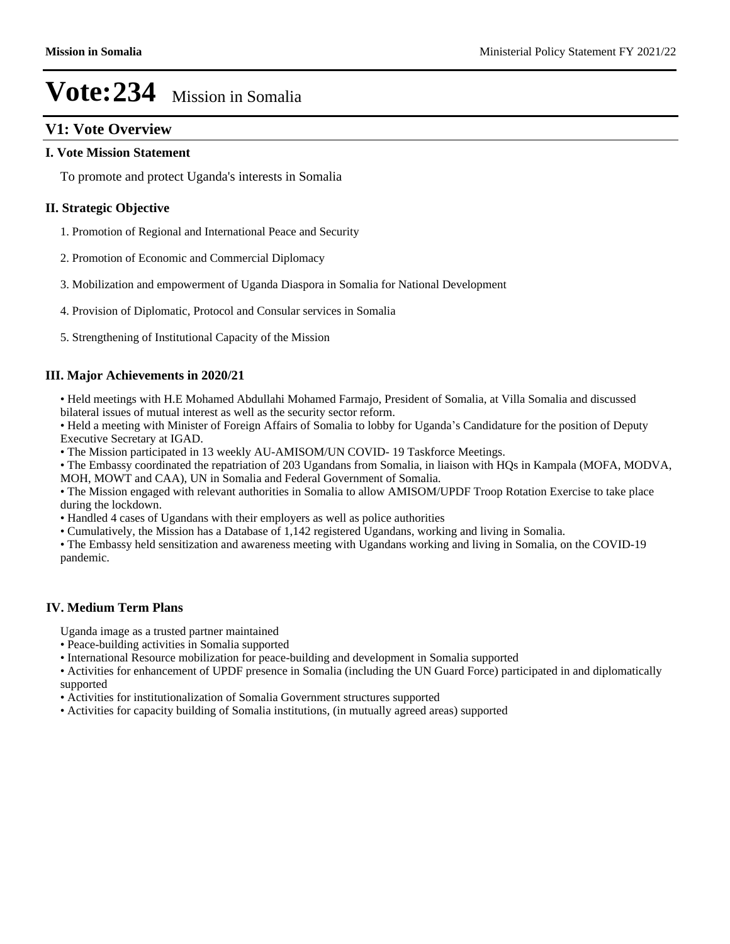# **V1: Vote Overview**

### **I. Vote Mission Statement**

To promote and protect Uganda's interests in Somalia

### **II. Strategic Objective**

- 1. Promotion of Regional and International Peace and Security
- 2. Promotion of Economic and Commercial Diplomacy
- 3. Mobilization and empowerment of Uganda Diaspora in Somalia for National Development
- 4. Provision of Diplomatic, Protocol and Consular services in Somalia
- 5. Strengthening of Institutional Capacity of the Mission

### **III. Major Achievements in 2020/21**

• Held meetings with H.E Mohamed Abdullahi Mohamed Farmajo, President of Somalia, at Villa Somalia and discussed bilateral issues of mutual interest as well as the security sector reform.

• Held a meeting with Minister of Foreign Affairs of Somalia to lobby for Uganda's Candidature for the position of Deputy Executive Secretary at IGAD.

The Mission participated in 13 weekly AU-AMISOM/UN COVID- 19 Taskforce Meetings.

The Embassy coordinated the repatriation of 203 Ugandans from Somalia, in liaison with HQs in Kampala (MOFA, MODVA, MOH, MOWT and CAA), UN in Somalia and Federal Government of Somalia.

The Mission engaged with relevant authorities in Somalia to allow AMISOM/UPDF Troop Rotation Exercise to take place during the lockdown.

Handled 4 cases of Ugandans with their employers as well as police authorities

Cumulatively, the Mission has a Database of 1,142 registered Ugandans, working and living in Somalia.

The Embassy held sensitization and awareness meeting with Ugandans working and living in Somalia, on the COVID-19 pandemic.

### **IV. Medium Term Plans**

Uganda image as a trusted partner maintained

- Peace-building activities in Somalia supported
- International Resource mobilization for peace-building and development in Somalia supported
- Activities for enhancement of UPDF presence in Somalia (including the UN Guard Force) participated in and diplomatically supported
- Activities for institutionalization of Somalia Government structures supported
- Activities for capacity building of Somalia institutions, (in mutually agreed areas) supported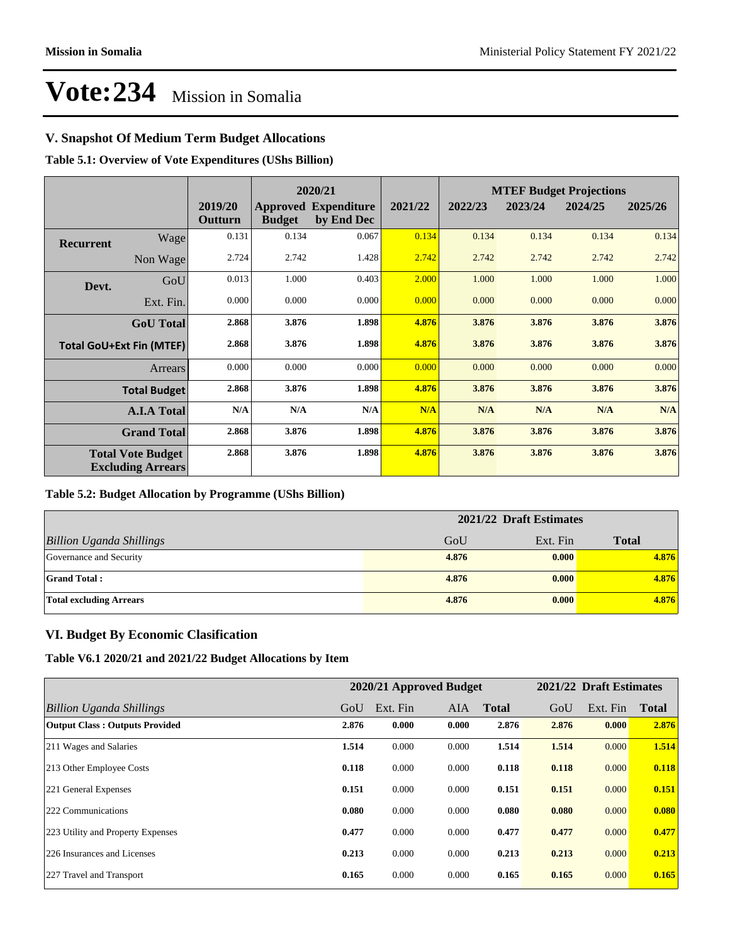## **V. Snapshot Of Medium Term Budget Allocations**

**Table 5.1: Overview of Vote Expenditures (UShs Billion)**

|                  |                                                      |                    | 2020/21       |                                           |         | <b>MTEF Budget Projections</b> |         |         |         |
|------------------|------------------------------------------------------|--------------------|---------------|-------------------------------------------|---------|--------------------------------|---------|---------|---------|
|                  |                                                      | 2019/20<br>Outturn | <b>Budget</b> | <b>Approved Expenditure</b><br>by End Dec | 2021/22 | 2022/23                        | 2023/24 | 2024/25 | 2025/26 |
| <b>Recurrent</b> | Wage                                                 | 0.131              | 0.134         | 0.067                                     | 0.134   | 0.134                          | 0.134   | 0.134   | 0.134   |
|                  | Non Wage                                             | 2.724              | 2.742         | 1.428                                     | 2.742   | 2.742                          | 2.742   | 2.742   | 2.742   |
| Devt.            | GoU                                                  | 0.013              | 1.000         | 0.403                                     | 2.000   | 1.000                          | 1.000   | 1.000   | 1.000   |
|                  | Ext. Fin.                                            | 0.000              | 0.000         | 0.000                                     | 0.000   | 0.000                          | 0.000   | 0.000   | 0.000   |
|                  | <b>GoU</b> Total                                     | 2.868              | 3.876         | 1.898                                     | 4.876   | 3.876                          | 3.876   | 3.876   | 3.876   |
|                  | <b>Total GoU+Ext Fin (MTEF)</b>                      | 2.868              | 3.876         | 1.898                                     | 4.876   | 3.876                          | 3.876   | 3.876   | 3.876   |
|                  | Arrears                                              | 0.000              | 0.000         | 0.000                                     | 0.000   | 0.000                          | 0.000   | 0.000   | 0.000   |
|                  | <b>Total Budget</b>                                  | 2.868              | 3.876         | 1.898                                     | 4.876   | 3.876                          | 3.876   | 3.876   | 3.876   |
|                  | <b>A.I.A Total</b>                                   | N/A                | N/A           | N/A                                       | N/A     | N/A                            | N/A     | N/A     | N/A     |
|                  | <b>Grand Total</b>                                   | 2.868              | 3.876         | 1.898                                     | 4.876   | 3.876                          | 3.876   | 3.876   | 3.876   |
|                  | <b>Total Vote Budget</b><br><b>Excluding Arrears</b> | 2.868              | 3.876         | 1.898                                     | 4.876   | 3.876                          | 3.876   | 3.876   | 3.876   |

### **Table 5.2: Budget Allocation by Programme (UShs Billion)**

|                                 | 2021/22 Draft Estimates |          |              |
|---------------------------------|-------------------------|----------|--------------|
| <b>Billion Uganda Shillings</b> | GoU                     | Ext. Fin | <b>Total</b> |
| Governance and Security         | 4.876                   | 0.000    | 4.876        |
| <b>Grand Total:</b>             | 4.876                   | 0.000    | 4.876        |
| <b>Total excluding Arrears</b>  | 4.876                   | 0.000    | 4.876        |

### **VI. Budget By Economic Clasification**

**Table V6.1 2020/21 and 2021/22 Budget Allocations by Item**

|                                       |       | 2020/21 Approved Budget |       |              |       | 2021/22 Draft Estimates |              |
|---------------------------------------|-------|-------------------------|-------|--------------|-------|-------------------------|--------------|
| Billion Uganda Shillings              | GoU   | Ext. Fin                | AIA   | <b>Total</b> | GoU   | Ext. Fin                | <b>Total</b> |
| <b>Output Class: Outputs Provided</b> | 2.876 | 0.000                   | 0.000 | 2.876        | 2.876 | 0.000                   | 2.876        |
| 211 Wages and Salaries                | 1.514 | 0.000                   | 0.000 | 1.514        | 1.514 | 0.000                   | 1.514        |
| 213 Other Employee Costs              | 0.118 | 0.000                   | 0.000 | 0.118        | 0.118 | 0.000                   | 0.118        |
| 221 General Expenses                  | 0.151 | 0.000                   | 0.000 | 0.151        | 0.151 | 0.000                   | 0.151        |
| 222 Communications                    | 0.080 | 0.000                   | 0.000 | 0.080        | 0.080 | 0.000                   | 0.080        |
| 223 Utility and Property Expenses     | 0.477 | 0.000                   | 0.000 | 0.477        | 0.477 | 0.000                   | 0.477        |
| 226 Insurances and Licenses           | 0.213 | 0.000                   | 0.000 | 0.213        | 0.213 | 0.000                   | 0.213        |
| 227 Travel and Transport              | 0.165 | 0.000                   | 0.000 | 0.165        | 0.165 | 0.000                   | 0.165        |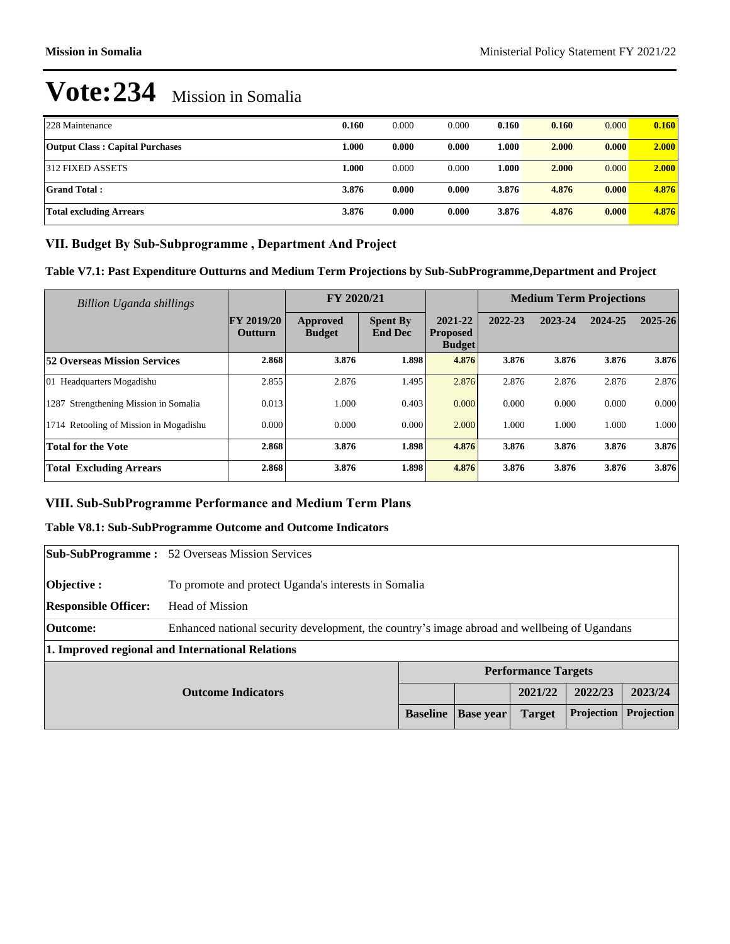| 228 Maintenance                        | 0.160 | 0.000 | 0.000 | 0.160 | 0.160 | 0.000 | 0.160 |
|----------------------------------------|-------|-------|-------|-------|-------|-------|-------|
| <b>Output Class: Capital Purchases</b> | 1.000 | 0.000 | 0.000 | 1.000 | 2.000 | 0.000 | 2.000 |
| 312 FIXED ASSETS                       | l.000 | 0.000 | 0.000 | 1.000 | 2.000 | 0.000 | 2.000 |
| <b>Grand Total:</b>                    | 3.876 | 0.000 | 0.000 | 3.876 | 4.876 | 0.000 | 4.876 |
| <b>Total excluding Arrears</b>         | 3.876 | 0.000 | 0.000 | 3.876 | 4.876 | 0.000 | 4.876 |

## VII. Budget By Sub-Subprogramme, Department And Project

**Table V7.1: Past Expenditure Outturns and Medium Term Projections by Sub-SubProgramme,Department and Project**

| Billion Uganda shillings               |                                     | FY 2020/21                       |                                   |                                             |         | <b>Medium Term Projections</b> |         |             |
|----------------------------------------|-------------------------------------|----------------------------------|-----------------------------------|---------------------------------------------|---------|--------------------------------|---------|-------------|
|                                        | <b>FY 2019/20</b><br><b>Outturn</b> | <b>Approved</b><br><b>Budget</b> | <b>Spent By</b><br><b>End Dec</b> | 2021-22<br><b>Proposed</b><br><b>Budget</b> | 2022-23 | 2023-24                        | 2024-25 | $2025 - 26$ |
| <b>52 Overseas Mission Services</b>    | 2.868                               | 3.876                            | 1.898                             | 4.876                                       | 3.876   | 3.876                          | 3.876   | 3.876       |
| 01 Headquarters Mogadishu              | 2.855                               | 2.876                            | 1.495                             | 2.876                                       | 2.876   | 2.876                          | 2.876   | 2.876       |
| 1287 Strengthening Mission in Somalia  | 0.013                               | 000.                             | 0.403                             | 0.000                                       | 0.000   | 0.000                          | 0.000   | 0.000       |
| 1714 Retooling of Mission in Mogadishu | 0.000                               | 0.000                            | 0.000                             | 2.000                                       | 1.000   | 1.000                          | 1.000   | 1.000       |
| <b>Total for the Vote</b>              | 2.868                               | 3.876                            | 1.898                             | 4.876                                       | 3.876   | 3.876                          | 3.876   | 3.876       |
| <b>Total Excluding Arrears</b>         | 2.868                               | 3.876                            | 1.898                             | 4.876                                       | 3.876   | 3.876                          | 3.876   | 3.876       |

### VIII. Sub-SubProgramme Performance and Medium Term Plans

# **Table V8.1: Sub-SubProgramme Outcome and Outcome Indicators**

|                             | <b>Sub-SubProgramme:</b> 52 Overseas Mission Services                                        |                 |                  |                            |                   |            |
|-----------------------------|----------------------------------------------------------------------------------------------|-----------------|------------------|----------------------------|-------------------|------------|
| Objective :                 | To promote and protect Uganda's interests in Somalia                                         |                 |                  |                            |                   |            |
| <b>Responsible Officer:</b> | <b>Head of Mission</b>                                                                       |                 |                  |                            |                   |            |
| Outcome:                    | Enhanced national security development, the country's image abroad and wellbeing of Ugandans |                 |                  |                            |                   |            |
|                             | 1. Improved regional and International Relations                                             |                 |                  |                            |                   |            |
|                             |                                                                                              |                 |                  | <b>Performance Targets</b> |                   |            |
|                             | <b>Outcome Indicators</b>                                                                    |                 |                  | 2021/22                    | 2022/23           | 2023/24    |
|                             |                                                                                              | <b>Baseline</b> | <b>Base</b> year | <b>Target</b>              | <b>Projection</b> | Projection |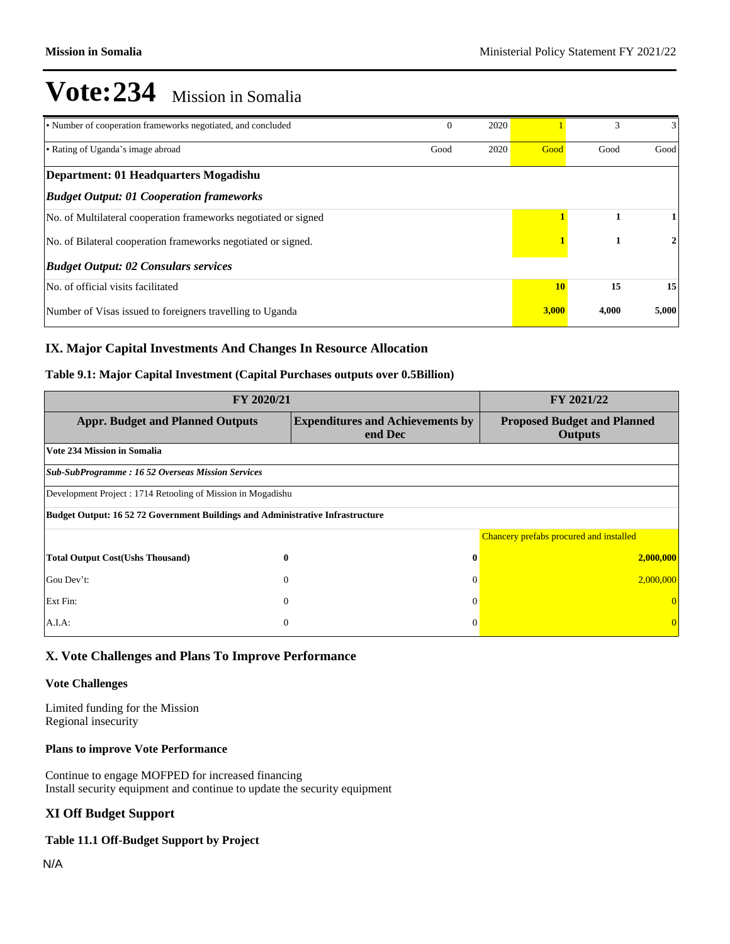| • Number of cooperation frameworks negotiated, and concluded    | $\theta$ | 2020 |       |       | 3     |
|-----------------------------------------------------------------|----------|------|-------|-------|-------|
| • Rating of Uganda's image abroad                               | Good     | 2020 | Good  | Good  | Good  |
| Department: 01 Headquarters Mogadishu                           |          |      |       |       |       |
| <b>Budget Output: 01 Cooperation frameworks</b>                 |          |      |       |       |       |
| No. of Multilateral cooperation frameworks negotiated or signed |          |      |       | 1     |       |
| No. of Bilateral cooperation frameworks negotiated or signed.   |          |      |       | 2     |       |
| <b>Budget Output: 02 Consulars services</b>                     |          |      |       |       |       |
| No. of official visits facilitated                              |          |      | 10    | 15    | 15    |
| Number of Visas issued to foreigners travelling to Uganda       |          |      | 3,000 | 4,000 | 5,000 |

### **IX. Major Capital Investments And Changes In Resource Allocation**

### **Table 9.1: Major Capital Investment (Capital Purchases outputs over 0.5Billion)**

| FY 2020/21                                                                            | FY 2021/22                                         |                                                      |  |  |  |
|---------------------------------------------------------------------------------------|----------------------------------------------------|------------------------------------------------------|--|--|--|
| <b>Appr. Budget and Planned Outputs</b>                                               | <b>Expenditures and Achievements by</b><br>end Dec | <b>Proposed Budget and Planned</b><br><b>Outputs</b> |  |  |  |
| <b>Vote 234 Mission in Somalia</b>                                                    |                                                    |                                                      |  |  |  |
| <b>Sub-SubProgramme : 16 52 Overseas Mission Services</b>                             |                                                    |                                                      |  |  |  |
| Development Project : 1714 Retooling of Mission in Mogadishu                          |                                                    |                                                      |  |  |  |
| <b>Budget Output: 16 52 72 Government Buildings and Administrative Infrastructure</b> |                                                    |                                                      |  |  |  |
|                                                                                       |                                                    | Chancery prefabs procured and installed              |  |  |  |
| <b>Total Output Cost(Ushs Thousand)</b><br>$\bf{0}$                                   | $\bf{0}$                                           | 2,000,000                                            |  |  |  |
| Gou Dev't:<br>$\Omega$                                                                | $\theta$                                           | 2,000,000                                            |  |  |  |
| Ext Fin:<br>$\overline{0}$                                                            | $\theta$                                           |                                                      |  |  |  |
| A.I.A.<br>$\overline{0}$                                                              | $\theta$                                           |                                                      |  |  |  |

### **X. Vote Challenges and Plans To Improve Performance**

#### **Vote Challenges**

Limited funding for the Mission Regional insecurity

### **Plans to improve Vote Performance**

Continue to engage MOFPED for increased financing Install security equipment and continue to update the security equipment

### **XI Off Budget Support**

### **Table 11.1 Off-Budget Support by Project**